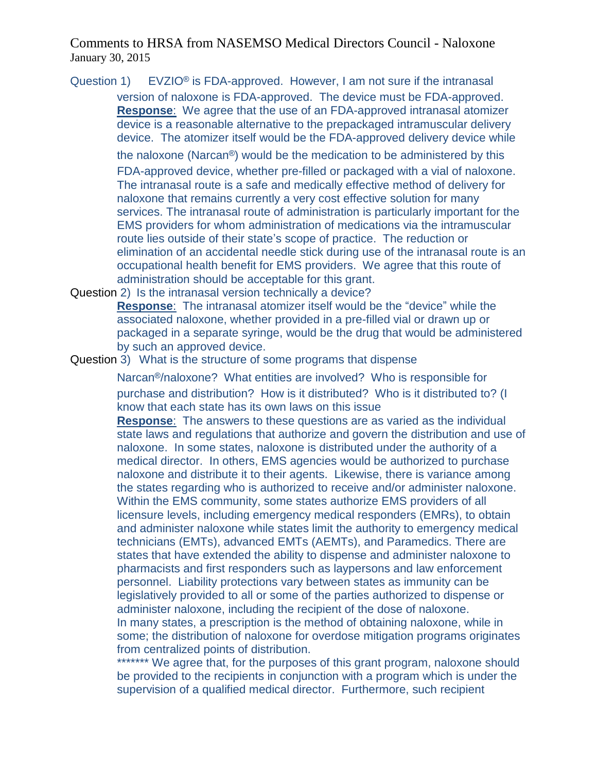Question 1) EVZIO® is FDA-approved. However, I am not sure if the intranasal version of naloxone is FDA-approved. The device must be FDA-approved. **Response**: We agree that the use of an FDA-approved intranasal atomizer device is a reasonable alternative to the prepackaged intramuscular delivery device. The atomizer itself would be the FDA-approved delivery device while

the naloxone (Narcan®) would be the medication to be administered by this

FDA-approved device, whether pre-filled or packaged with a vial of naloxone. The intranasal route is a safe and medically effective method of delivery for naloxone that remains currently a very cost effective solution for many services. The intranasal route of administration is particularly important for the EMS providers for whom administration of medications via the intramuscular route lies outside of their state's scope of practice. The reduction or elimination of an accidental needle stick during use of the intranasal route is an occupational health benefit for EMS providers. We agree that this route of administration should be acceptable for this grant.

Question 2) Is the intranasal version technically a device?

**Response**: The intranasal atomizer itself would be the "device" while the associated naloxone, whether provided in a pre-filled vial or drawn up or packaged in a separate syringe, would be the drug that would be administered by such an approved device.

Question 3) What is the structure of some programs that dispense

Narcan®/naloxone? What entities are involved? Who is responsible for purchase and distribution? How is it distributed? Who is it distributed to? (I know that each state has its own laws on this issue

**Response**: The answers to these questions are as varied as the individual state laws and regulations that authorize and govern the distribution and use of naloxone. In some states, naloxone is distributed under the authority of a medical director. In others, EMS agencies would be authorized to purchase naloxone and distribute it to their agents. Likewise, there is variance among the states regarding who is authorized to receive and/or administer naloxone. Within the EMS community, some states authorize EMS providers of all licensure levels, including emergency medical responders (EMRs), to obtain and administer naloxone while states limit the authority to emergency medical technicians (EMTs), advanced EMTs (AEMTs), and Paramedics. There are states that have extended the ability to dispense and administer naloxone to pharmacists and first responders such as laypersons and law enforcement personnel. Liability protections vary between states as immunity can be legislatively provided to all or some of the parties authorized to dispense or administer naloxone, including the recipient of the dose of naloxone. In many states, a prescription is the method of obtaining naloxone, while in some; the distribution of naloxone for overdose mitigation programs originates from centralized points of distribution.

\*\*\*\*\*\*\* We agree that, for the purposes of this grant program, naloxone should be provided to the recipients in conjunction with a program which is under the supervision of a qualified medical director. Furthermore, such recipient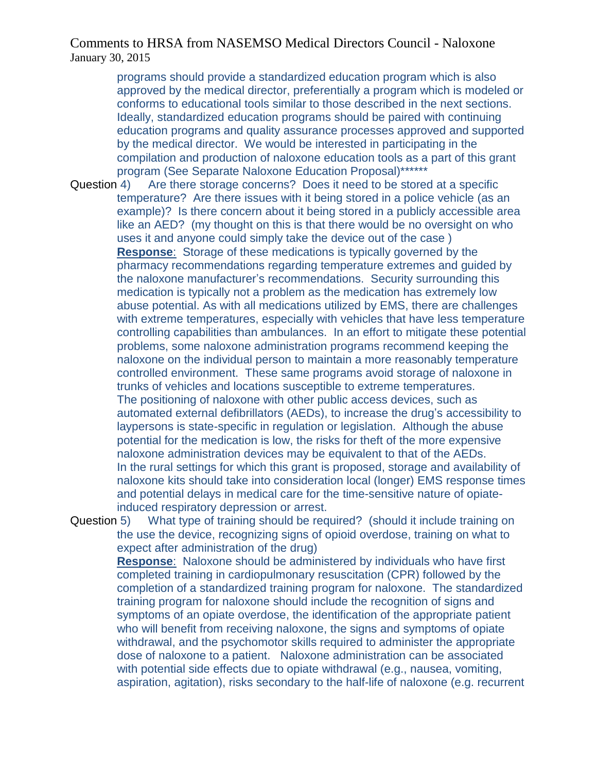programs should provide a standardized education program which is also approved by the medical director, preferentially a program which is modeled or conforms to educational tools similar to those described in the next sections. Ideally, standardized education programs should be paired with continuing education programs and quality assurance processes approved and supported by the medical director. We would be interested in participating in the compilation and production of naloxone education tools as a part of this grant program (See Separate Naloxone Education Proposal)\*\*\*\*\*\*

Question 4) Are there storage concerns? Does it need to be stored at a specific temperature? Are there issues with it being stored in a police vehicle (as an example)? Is there concern about it being stored in a publicly accessible area like an AED? (my thought on this is that there would be no oversight on who uses it and anyone could simply take the device out of the case ) **Response**: Storage of these medications is typically governed by the pharmacy recommendations regarding temperature extremes and guided by the naloxone manufacturer's recommendations. Security surrounding this medication is typically not a problem as the medication has extremely low abuse potential. As with all medications utilized by EMS, there are challenges with extreme temperatures, especially with vehicles that have less temperature controlling capabilities than ambulances. In an effort to mitigate these potential problems, some naloxone administration programs recommend keeping the naloxone on the individual person to maintain a more reasonably temperature controlled environment. These same programs avoid storage of naloxone in trunks of vehicles and locations susceptible to extreme temperatures. The positioning of naloxone with other public access devices, such as automated external defibrillators (AEDs), to increase the drug's accessibility to laypersons is state-specific in regulation or legislation. Although the abuse potential for the medication is low, the risks for theft of the more expensive naloxone administration devices may be equivalent to that of the AEDs. In the rural settings for which this grant is proposed, storage and availability of naloxone kits should take into consideration local (longer) EMS response times and potential delays in medical care for the time-sensitive nature of opiateinduced respiratory depression or arrest.

Question 5) What type of training should be required? (should it include training on the use the device, recognizing signs of opioid overdose, training on what to expect after administration of the drug)

**Response**: Naloxone should be administered by individuals who have first completed training in cardiopulmonary resuscitation (CPR) followed by the completion of a standardized training program for naloxone. The standardized training program for naloxone should include the recognition of signs and symptoms of an opiate overdose, the identification of the appropriate patient who will benefit from receiving naloxone, the signs and symptoms of opiate withdrawal, and the psychomotor skills required to administer the appropriate dose of naloxone to a patient. Naloxone administration can be associated with potential side effects due to opiate withdrawal (e.g., nausea, vomiting, aspiration, agitation), risks secondary to the half-life of naloxone (e.g. recurrent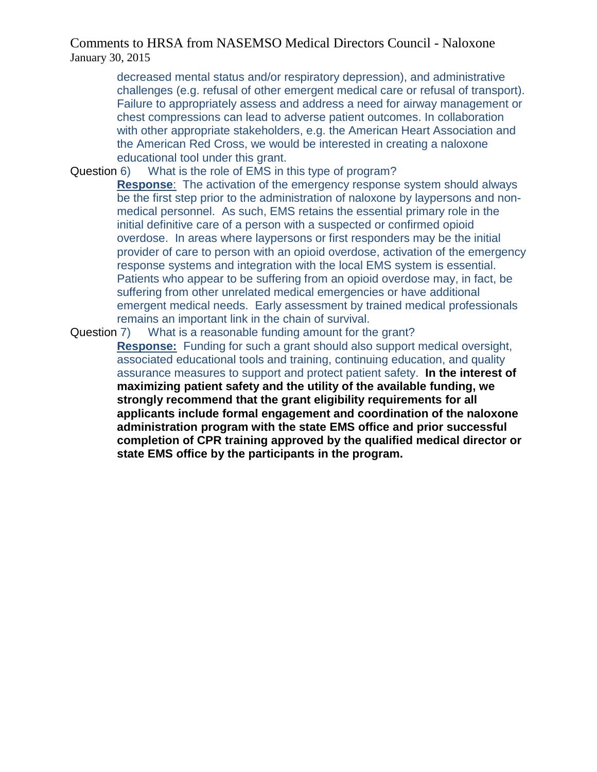decreased mental status and/or respiratory depression), and administrative challenges (e.g. refusal of other emergent medical care or refusal of transport). Failure to appropriately assess and address a need for airway management or chest compressions can lead to adverse patient outcomes. In collaboration with other appropriate stakeholders, e.g. the American Heart Association and the American Red Cross, we would be interested in creating a naloxone educational tool under this grant.

Question 6) What is the role of EMS in this type of program?

**Response**: The activation of the emergency response system should always be the first step prior to the administration of naloxone by laypersons and nonmedical personnel. As such, EMS retains the essential primary role in the initial definitive care of a person with a suspected or confirmed opioid overdose. In areas where laypersons or first responders may be the initial provider of care to person with an opioid overdose, activation of the emergency response systems and integration with the local EMS system is essential. Patients who appear to be suffering from an opioid overdose may, in fact, be suffering from other unrelated medical emergencies or have additional emergent medical needs. Early assessment by trained medical professionals remains an important link in the chain of survival.

Question 7) What is a reasonable funding amount for the grant?

**Response:** Funding for such a grant should also support medical oversight, associated educational tools and training, continuing education, and quality assurance measures to support and protect patient safety. **In the interest of maximizing patient safety and the utility of the available funding, we strongly recommend that the grant eligibility requirements for all applicants include formal engagement and coordination of the naloxone administration program with the state EMS office and prior successful completion of CPR training approved by the qualified medical director or state EMS office by the participants in the program.**